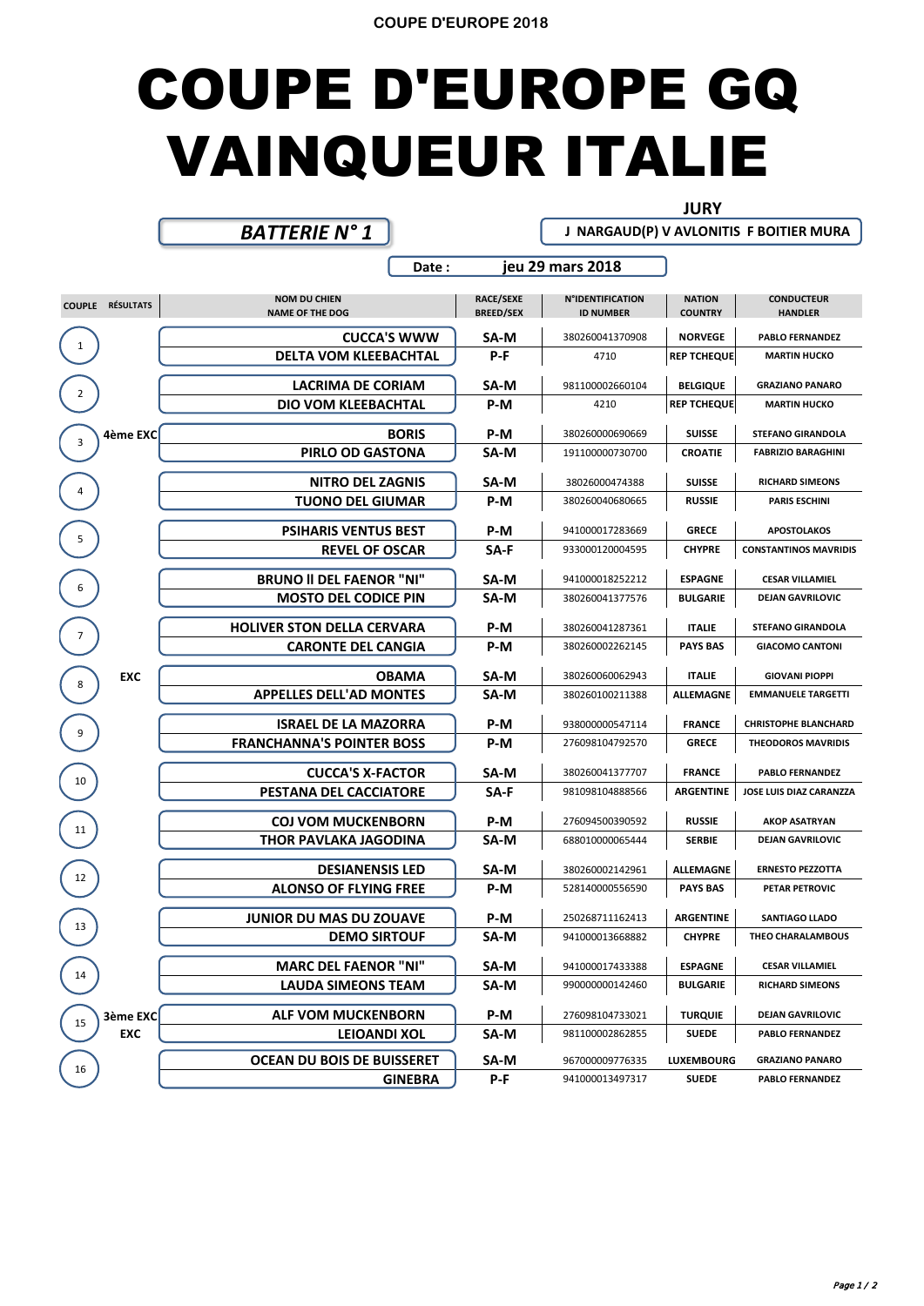## COUPE D'EUROPE GQ VAINQUEUR ITALIE

## **JURY**

 **J NARGAUD(P) V AVLONITIS F BOITIER MURA**

## *BATTERIE N° 1*

|                |                         | Date:                                         | jeu 29 mars 2018                     |                                             |                                 |                                     |
|----------------|-------------------------|-----------------------------------------------|--------------------------------------|---------------------------------------------|---------------------------------|-------------------------------------|
|                | <b>COUPLE RÉSULTATS</b> | <b>NOM DU CHIEN</b><br><b>NAME OF THE DOG</b> | <b>RACE/SEXE</b><br><b>BREED/SEX</b> | <b>N°IDENTIFICATION</b><br><b>ID NUMBER</b> | <b>NATION</b><br><b>COUNTRY</b> | <b>CONDUCTEUR</b><br><b>HANDLER</b> |
|                |                         | <b>CUCCA'S WWW</b>                            | SA-M                                 | 380260041370908                             | <b>NORVEGE</b>                  | <b>PABLO FERNANDEZ</b>              |
| $\mathbf{1}$   |                         | <b>DELTA VOM KLEEBACHTAL</b>                  | $P-F$                                | 4710                                        | <b>REP TCHEQUE</b>              | <b>MARTIN HUCKO</b>                 |
| $\overline{2}$ |                         | LACRIMA DE CORIAM                             | SA-M                                 | 981100002660104                             | <b>BELGIQUE</b>                 | <b>GRAZIANO PANARO</b>              |
|                |                         | DIO VOM KLEEBACHTAL                           | P-M                                  | 4210                                        | <b>REP TCHEQUE</b>              | <b>MARTIN HUCKO</b>                 |
| 3              | 4ème EXC                | <b>BORIS</b>                                  | P-M                                  | 380260000690669                             | <b>SUISSE</b>                   | <b>STEFANO GIRANDOLA</b>            |
|                |                         | PIRLO OD GASTONA                              | SA-M                                 | 191100000730700                             | <b>CROATIE</b>                  | <b>FABRIZIO BARAGHINI</b>           |
| 4              |                         | <b>NITRO DEL ZAGNIS</b>                       | SA-M                                 | 38026000474388                              | <b>SUISSE</b>                   | <b>RICHARD SIMEONS</b>              |
|                |                         | <b>TUONO DEL GIUMAR</b>                       | P-M                                  | 380260040680665                             | <b>RUSSIE</b>                   | <b>PARIS ESCHINI</b>                |
| 5              |                         | <b>PSIHARIS VENTUS BEST</b>                   | P-M                                  | 941000017283669                             | <b>GRECE</b>                    | <b>APOSTOLAKOS</b>                  |
|                |                         | <b>REVEL OF OSCAR</b>                         | SA-F                                 | 933000120004595                             | <b>CHYPRE</b>                   | <b>CONSTANTINOS MAVRIDIS</b>        |
|                |                         | <b>BRUNO II DEL FAENOR "NI"</b>               | SA-M                                 | 941000018252212                             | <b>ESPAGNE</b>                  | <b>CESAR VILLAMIEL</b>              |
| 6              |                         | <b>MOSTO DEL CODICE PIN</b>                   | SA-M                                 | 380260041377576                             | <b>BULGARIE</b>                 | <b>DEJAN GAVRILOVIC</b>             |
| 7              |                         | <b>HOLIVER STON DELLA CERVARA</b>             | P-M                                  | 380260041287361                             | <b>ITALIE</b>                   | <b>STEFANO GIRANDOLA</b>            |
|                |                         | <b>CARONTE DEL CANGIA</b>                     | P-M                                  | 380260002262145                             | <b>PAYS BAS</b>                 | <b>GIACOMO CANTONI</b>              |
| 8              | <b>EXC</b>              | <b>OBAMA</b>                                  | SA-M                                 | 380260060062943                             | <b>ITALIE</b>                   | <b>GIOVANI PIOPPI</b>               |
|                |                         | <b>APPELLES DELL'AD MONTES</b>                | SA-M                                 | 380260100211388                             | <b>ALLEMAGNE</b>                | <b>EMMANUELE TARGETTI</b>           |
|                |                         | <b>ISRAEL DE LA MAZORRA</b>                   | P-M                                  | 938000000547114                             | <b>FRANCE</b>                   | <b>CHRISTOPHE BLANCHARD</b>         |
| 9              |                         | <b>FRANCHANNA'S POINTER BOSS</b>              | P-M                                  | 276098104792570                             | <b>GRECE</b>                    | <b>THEODOROS MAVRIDIS</b>           |
|                |                         | <b>CUCCA'S X-FACTOR</b>                       | SA-M                                 | 380260041377707                             | <b>FRANCE</b>                   | <b>PABLO FERNANDEZ</b>              |
| 10             |                         | PESTANA DEL CACCIATORE                        | SA-F                                 | 981098104888566                             | <b>ARGENTINE</b>                | JOSE LUIS DIAZ CARANZZA             |
|                |                         | <b>COJ VOM MUCKENBORN</b>                     | P-M                                  | 276094500390592                             | <b>RUSSIE</b>                   | <b>AKOP ASATRYAN</b>                |
| 11             |                         | THOR PAVLAKA JAGODINA                         | SA-M                                 | 688010000065444                             | <b>SERBIE</b>                   | <b>DEJAN GAVRILOVIC</b>             |
|                |                         | <b>DESIANENSIS LED</b>                        | SA-M                                 | 380260002142961                             | <b>ALLEMAGNE</b>                | <b>ERNESTO PEZZOTTA</b>             |
| 12             |                         | <b>ALONSO OF FLYING FREE</b>                  | P-M                                  | 528140000556590                             | <b>PAYS BAS</b>                 | <b>PETAR PETROVIC</b>               |
|                |                         | <b>JUNIOR DU MAS DU ZOUAVE</b>                | P-M                                  | 250268711162413                             | <b>ARGENTINE</b>                | <b>SANTIAGO LLADO</b>               |
| 13             |                         | <b>DEMO SIRTOUF</b>                           | SA-M                                 | 941000013668882                             | <b>CHYPRE</b>                   | THEO CHARALAMBOUS                   |
|                |                         | <b>MARC DEL FAENOR "NI"</b>                   | SA-M                                 | 941000017433388                             | <b>ESPAGNE</b>                  | <b>CESAR VILLAMIEL</b>              |
| 14             |                         | <b>LAUDA SIMEONS TEAM</b>                     | SA-M                                 | 990000000142460                             | <b>BULGARIE</b>                 | <b>RICHARD SIMEONS</b>              |
|                | 3ème EXC                | <b>ALF VOM MUCKENBORN</b>                     | P-M                                  | 276098104733021                             | <b>TURQUIE</b>                  | <b>DEJAN GAVRILOVIC</b>             |
| 15             | <b>EXC</b>              | <b>LEIOANDI XOL</b>                           | SA-M                                 | 981100002862855                             | <b>SUEDE</b>                    | <b>PABLO FERNANDEZ</b>              |
|                |                         | <b>OCEAN DU BOIS DE BUISSERET</b>             | SA-M                                 | 967000009776335                             | <b>LUXEMBOURG</b>               | <b>GRAZIANO PANARO</b>              |
| 16             |                         | <b>GINEBRA</b>                                | P-F                                  | 941000013497317                             | <b>SUEDE</b>                    | <b>PABLO FERNANDEZ</b>              |